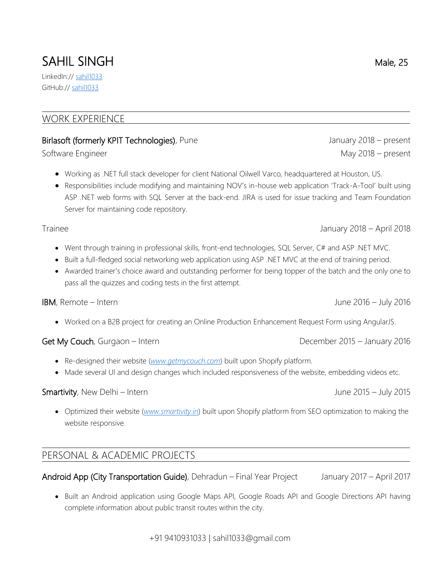# SAHIL SINGH Male, 25

LinkedIn:// [sahil1033](https://www.linkedin.com/in/sahil1033/) GitHub:// [sahil1033](https://github.com/sahil1033)

#### WORK EXPERIENCE

#### Birlasoft (formerly KPIT Technologies), Pune January 2018 – present

Software Engineer May 2018 – present

- Working as .NET full stack developer for client National Oilwell Varco, headquartered at Houston, US.
- Responsibilities include modifying and maintaining NOV's in-house web application 'Track-A-Tool' built using ASP .NET web forms with SQL Server at the back-end. JIRA is used for issue tracking and Team Foundation Server for maintaining code repository.

Trainee January 2018 – April 2018

- Went through training in professional skills, front-end technologies, SQL Server, C# and ASP .NET MVC.
- Built a full-fledged social networking web application using ASP .NET MVC at the end of training period.
- Awarded trainer's choice award and outstanding performer for being topper of the batch and the only one to pass all the quizzes and coding tests in the first attempt.

Worked on a B2B project for creating an Online Production Enhancement Request Form using AngularJS.

Get My Couch, Gurgaon – Intern **Get My Couch**, Gurgaon – Intern

- Re-designed their website (*<www.getmycouch.com>*) built upon Shopify platform.
- Made several UI and design changes which included responsiveness of the website, embedding videos etc.

#### Smartivity, New Delhi – Intern July 2015 – July 2015 – July 2015

 Optimized their website (*<www.smartivity.in>*) built upon Shopify platform from SEO optimization to making the website responsive.

### PERSONAL & ACADEMIC PROJECTS

Android App (City Transportation Guide), Dehradun – Final Year Project January 2017 – April 2017

• Built an Android application using Google Maps API, Google Roads API and Google Directions API having complete information about public transit routes within the city.

IBM, Remote – Intern June 2016 – July 2016